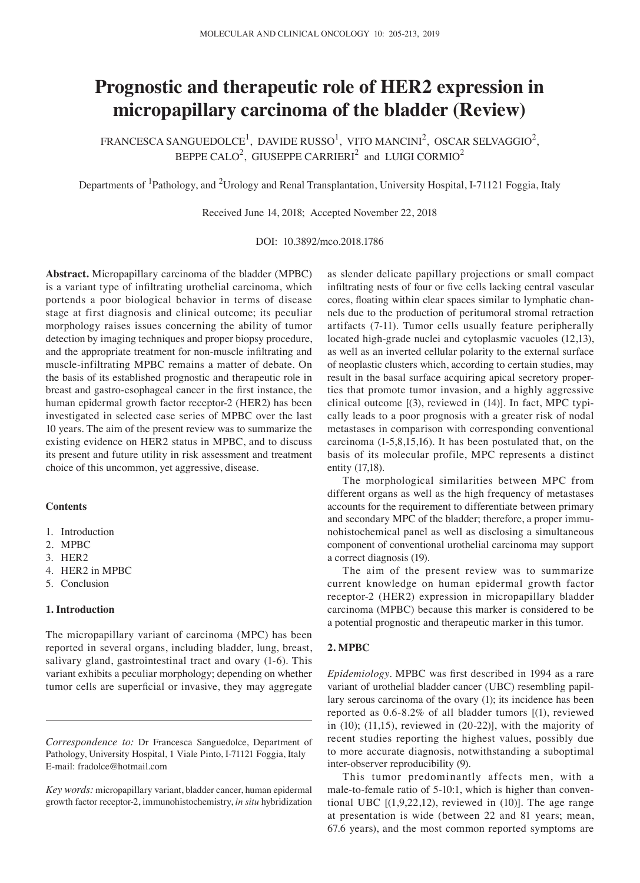# **Prognostic and therapeutic role of HER2 expression in micropapillary carcinoma of the bladder (Review)**

FRANCESCA SANGUEDOLCE $^1$ , DAVIDE RUSSO $^1$ , VITO MANCINI $^2$ , OSCAR SELVAGGIO $^2$ , BEPPE CALO<sup>2</sup>, GIUSEPPE CARRIERI<sup>2</sup> and LUIGI CORMIO<sup>2</sup>

Departments of <sup>1</sup>Pathology, and <sup>2</sup>Urology and Renal Transplantation, University Hospital, I-71121 Foggia, Italy

Received June 14, 2018; Accepted November 22, 2018

DOI: 10.3892/mco.2018.1786

**Abstract.** Micropapillary carcinoma of the bladder (MPBC) is a variant type of infiltrating urothelial carcinoma, which portends a poor biological behavior in terms of disease stage at first diagnosis and clinical outcome; its peculiar morphology raises issues concerning the ability of tumor detection by imaging techniques and proper biopsy procedure, and the appropriate treatment for non‑muscle infiltrating and muscle‑infiltrating MPBC remains a matter of debate. On the basis of its established prognostic and therapeutic role in breast and gastro‑esophageal cancer in the first instance, the human epidermal growth factor receptor-2 (HER2) has been investigated in selected case series of MPBC over the last 10 years. The aim of the present review was to summarize the existing evidence on HER2 status in MPBC, and to discuss its present and future utility in risk assessment and treatment choice of this uncommon, yet aggressive, disease.

## **Contents**

- 1. Introduction
- 2. MPBC
- 3. HER2
- 4. HER2 in MPBC
- 5. Conclusion

## **1. Introduction**

The micropapillary variant of carcinoma (MPC) has been reported in several organs, including bladder, lung, breast, salivary gland, gastrointestinal tract and ovary (1‑6). This variant exhibits a peculiar morphology; depending on whether tumor cells are superficial or invasive, they may aggregate as slender delicate papillary projections or small compact infiltrating nests of four or five cells lacking central vascular cores, floating within clear spaces similar to lymphatic channels due to the production of peritumoral stromal retraction artifacts (7‑11). Tumor cells usually feature peripherally located high-grade nuclei and cytoplasmic vacuoles (12,13), as well as an inverted cellular polarity to the external surface of neoplastic clusters which, according to certain studies, may result in the basal surface acquiring apical secretory properties that promote tumor invasion, and a highly aggressive clinical outcome [(3), reviewed in (14)]. In fact, MPC typically leads to a poor prognosis with a greater risk of nodal metastases in comparison with corresponding conventional carcinoma (1‑5,8,15,16). It has been postulated that, on the basis of its molecular profile, MPC represents a distinct entity (17,18).

The morphological similarities between MPC from different organs as well as the high frequency of metastases accounts for the requirement to differentiate between primary and secondary MPC of the bladder; therefore, a proper immunohistochemical panel as well as disclosing a simultaneous component of conventional urothelial carcinoma may support a correct diagnosis (19).

The aim of the present review was to summarize current knowledge on human epidermal growth factor receptor‑2 (HER2) expression in micropapillary bladder carcinoma (MPBC) because this marker is considered to be a potential prognostic and therapeutic marker in this tumor.

# **2. MPBC**

*Epidemiology.* MPBC was first described in 1994 as a rare variant of urothelial bladder cancer (UBC) resembling papillary serous carcinoma of the ovary (1); its incidence has been reported as 0.6‑8.2% of all bladder tumors [(1), reviewed in (10); (11,15), reviewed in (20-22)], with the majority of recent studies reporting the highest values, possibly due to more accurate diagnosis, notwithstanding a suboptimal inter-observer reproducibility (9).

This tumor predominantly affects men, with a male-to-female ratio of 5-10:1, which is higher than conventional UBC  $[(1,9,22,12)$ , reviewed in  $(10)$ ]. The age range at presentation is wide (between 22 and 81 years; mean, 67.6 years), and the most common reported symptoms are

*Correspondence to:* Dr Francesca Sanguedolce, Department of Pathology, University Hospital, 1 Viale Pinto, I‑71121 Foggia, Italy E‑mail: fradolce@hotmail.com

*Key words:* micropapillary variant, bladder cancer, human epidermal growth factor receptor‑2, immunohistochemistry, *in situ* hybridization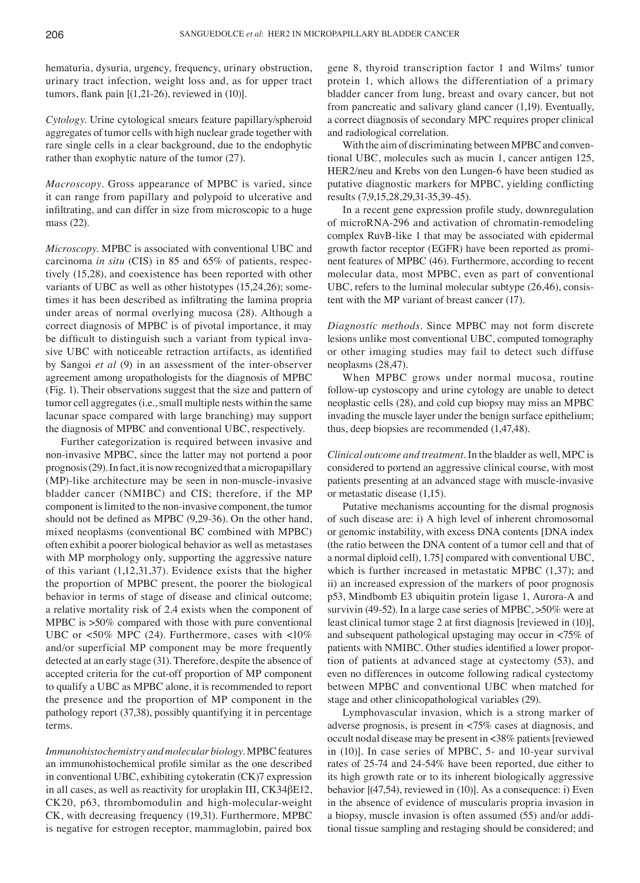hematuria, dysuria, urgency, frequency, urinary obstruction, urinary tract infection, weight loss and, as for upper tract tumors, flank pain  $[(1,21-26)$ , reviewed in  $(10)]$ .

*Cytology.* Urine cytological smears feature papillary/spheroid aggregates of tumor cells with high nuclear grade together with rare single cells in a clear background, due to the endophytic rather than exophytic nature of the tumor (27).

*Macroscopy.* Gross appearance of MPBC is varied, since it can range from papillary and polypoid to ulcerative and infiltrating, and can differ in size from microscopic to a huge mass (22).

*Microscopy.* MPBC is associated with conventional UBC and carcinoma *in situ* (CIS) in 85 and 65% of patients, respectively (15,28), and coexistence has been reported with other variants of UBC as well as other histotypes (15,24,26); sometimes it has been described as infiltrating the lamina propria under areas of normal overlying mucosa (28). Although a correct diagnosis of MPBC is of pivotal importance, it may be difficult to distinguish such a variant from typical invasive UBC with noticeable retraction artifacts, as identified by Sangoi *et al* (9) in an assessment of the inter-observer agreement among uropathologists for the diagnosis of MPBC (Fig. 1). Their observations suggest that the size and pattern of tumor cell aggregates (i.e., small multiple nests within the same lacunar space compared with large branching) may support the diagnosis of MPBC and conventional UBC, respectively.

Further categorization is required between invasive and non-invasive MPBC, since the latter may not portend a poor prognosis(29). In fact, it is now recognized that a micropapillary (MP)‑like architecture may be seen in non‑muscle‑invasive bladder cancer (NMIBC) and CIS; therefore, if the MP component is limited to the non‑invasive component, the tumor should not be defined as MPBC (9,29‑36). On the other hand, mixed neoplasms (conventional BC combined with MPBC) often exhibit a poorer biological behavior as well as metastases with MP morphology only, supporting the aggressive nature of this variant (1,12,31,37). Evidence exists that the higher the proportion of MPBC present, the poorer the biological behavior in terms of stage of disease and clinical outcome; a relative mortality risk of 2.4 exists when the component of MPBC is  $>50\%$  compared with those with pure conventional UBC or <50% MPC (24). Furthermore, cases with <10% and/or superficial MP component may be more frequently detected at an early stage (31). Therefore, despite the absence of accepted criteria for the cut‑off proportion of MP component to qualify a UBC as MPBC alone, it is recommended to report the presence and the proportion of MP component in the pathology report (37,38), possibly quantifying it in percentage terms.

*Immunohistochemistry and molecular biology.* MPBC features an immunohistochemical profile similar as the one described in conventional UBC, exhibiting cytokeratin (CK)7 expression in all cases, as well as reactivity for uroplakin III, CK34βE12, CK20, p63, thrombomodulin and high-molecular-weight CK, with decreasing frequency (19,31). Furthermore, MPBC is negative for estrogen receptor, mammaglobin, paired box gene 8, thyroid transcription factor 1 and Wilms' tumor protein 1, which allows the differentiation of a primary bladder cancer from lung, breast and ovary cancer, but not from pancreatic and salivary gland cancer (1,19). Eventually, a correct diagnosis of secondary MPC requires proper clinical and radiological correlation.

With the aim of discriminating between MPBC and conventional UBC, molecules such as mucin 1, cancer antigen 125, HER2/neu and Krebs von den Lungen-6 have been studied as putative diagnostic markers for MPBC, yielding conflicting results (7,9,15,28,29,31‑35,39‑45).

In a recent gene expression profile study, downregulation of microRNA‑296 and activation of chromatin‑remodeling complex RuvB‑like 1 that may be associated with epidermal growth factor receptor (EGFR) have been reported as prominent features of MPBC (46). Furthermore, according to recent molecular data, most MPBC, even as part of conventional UBC, refers to the luminal molecular subtype (26,46), consistent with the MP variant of breast cancer (17).

*Diagnostic methods.* Since MPBC may not form discrete lesions unlike most conventional UBC, computed tomography or other imaging studies may fail to detect such diffuse neoplasms (28,47).

When MPBC grows under normal mucosa, routine follow‑up cystoscopy and urine cytology are unable to detect neoplastic cells (28), and cold cup biopsy may miss an MPBC invading the muscle layer under the benign surface epithelium; thus, deep biopsies are recommended (1,47,48).

*Clinical outcome and treatment.* In the bladder as well, MPC is considered to portend an aggressive clinical course, with most patients presenting at an advanced stage with muscle‑invasive or metastatic disease (1,15).

Putative mechanisms accounting for the dismal prognosis of such disease are: i) A high level of inherent chromosomal or genomic instability, with excess DNA contents [DNA index (the ratio between the DNA content of a tumor cell and that of a normal diploid cell), 1.75] compared with conventional UBC, which is further increased in metastatic MPBC  $(1,37)$ ; and ii) an increased expression of the markers of poor prognosis p53, Mindbomb E3 ubiquitin protein ligase 1, Aurora‑A and survivin (49–52). In a large case series of MPBC, > 50% were at least clinical tumor stage 2 at first diagnosis [reviewed in (10)], and subsequent pathological upstaging may occur in <75% of patients with NMIBC. Other studies identified a lower proportion of patients at advanced stage at cystectomy (53), and even no differences in outcome following radical cystectomy between MPBC and conventional UBC when matched for stage and other clinicopathological variables (29).

Lymphovascular invasion, which is a strong marker of adverse prognosis, is present in <75% cases at diagnosis, and occult nodal disease may be present in <38% patients [reviewed in (10)]. In case series of MPBC, 5‑ and 10‑year survival rates of 25‑74 and 24‑54% have been reported, due either to its high growth rate or to its inherent biologically aggressive behavior [(47,54), reviewed in (10)]. As a consequence: i) Even in the absence of evidence of muscularis propria invasion in a biopsy, muscle invasion is often assumed (55) and/or additional tissue sampling and restaging should be considered; and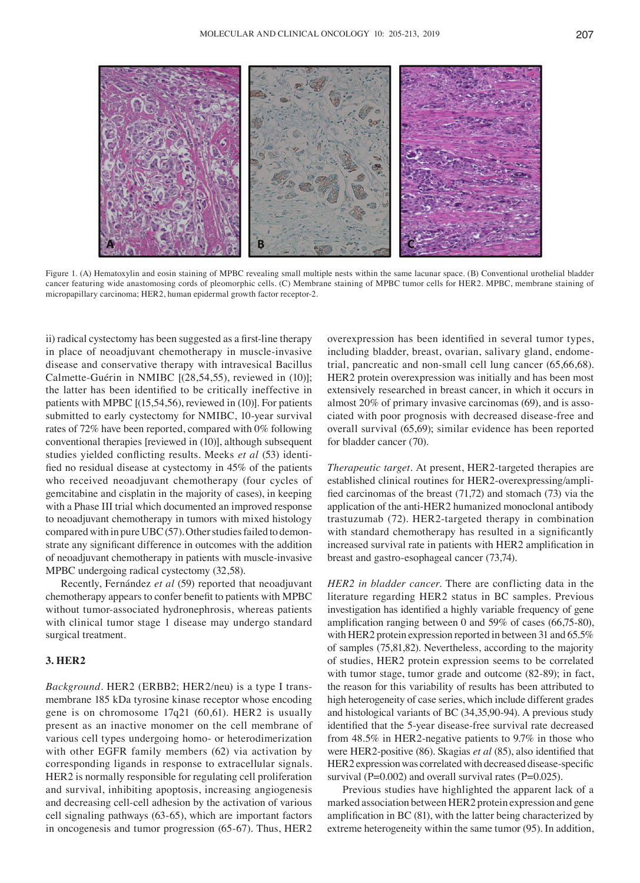

Figure 1. (A) Hematoxylin and eosin staining of MPBC revealing small multiple nests within the same lacunar space. (B) Conventional urothelial bladder cancer featuring wide anastomosing cords of pleomorphic cells. (C) Membrane staining of MPBC tumor cells for HER2. MPBC, membrane staining of micropapillary carcinoma; HER2, human epidermal growth factor receptor‑2.

ii) radical cystectomy has been suggested as a first-line therapy in place of neoadjuvant chemotherapy in muscle‑invasive disease and conservative therapy with intravesical Bacillus Calmette-Guérin in NMIBC [(28,54,55), reviewed in (10)]; the latter has been identified to be critically ineffective in patients with MPBC [(15,54,56), reviewed in (10)]. For patients submitted to early cystectomy for NMIBC, 10‑year survival rates of 72% have been reported, compared with 0% following conventional therapies [reviewed in (10)], although subsequent studies yielded conflicting results. Meeks *et al* (53) identified no residual disease at cystectomy in 45% of the patients who received neoadjuvant chemotherapy (four cycles of gemcitabine and cisplatin in the majority of cases), in keeping with a Phase III trial which documented an improved response to neoadjuvant chemotherapy in tumors with mixed histology compared with in pure UBC(57). Other studies failed to demonstrate any significant difference in outcomes with the addition of neoadjuvant chemotherapy in patients with muscle‑invasive MPBC undergoing radical cystectomy (32,58).

Recently, Fernández *et al* (59) reported that neoadjuvant chemotherapy appears to confer benefit to patients with MPBC without tumor-associated hydronephrosis, whereas patients with clinical tumor stage 1 disease may undergo standard surgical treatment.

#### **3. HER2**

*Background.* HER2 (ERBB2; HER2/neu) is a type I transmembrane 185 kDa tyrosine kinase receptor whose encoding gene is on chromosome 17q21 (60,61). HER2 is usually present as an inactive monomer on the cell membrane of various cell types undergoing homo‑ or heterodimerization with other EGFR family members (62) via activation by corresponding ligands in response to extracellular signals. HER2 is normally responsible for regulating cell proliferation and survival, inhibiting apoptosis, increasing angiogenesis and decreasing cell-cell adhesion by the activation of various cell signaling pathways (63‑65), which are important factors in oncogenesis and tumor progression (65‑67). Thus, HER2 overexpression has been identified in several tumor types, including bladder, breast, ovarian, salivary gland, endometrial, pancreatic and non‑small cell lung cancer (65,66,68). HER2 protein overexpression was initially and has been most extensively researched in breast cancer, in which it occurs in almost 20% of primary invasive carcinomas (69), and is associated with poor prognosis with decreased disease‑free and overall survival (65,69); similar evidence has been reported for bladder cancer (70).

*Therapeutic target.* At present, HER2‑targeted therapies are established clinical routines for HER2‑overexpressing/amplified carcinomas of the breast (71,72) and stomach (73) via the application of the anti-HER2 humanized monoclonal antibody trastuzumab (72). HER2‑targeted therapy in combination with standard chemotherapy has resulted in a significantly increased survival rate in patients with HER2 amplification in breast and gastro‑esophageal cancer (73,74).

*HER2 in bladder cancer.* There are conflicting data in the literature regarding HER2 status in BC samples. Previous investigation has identified a highly variable frequency of gene amplification ranging between 0 and 59% of cases (66,75‑80), with HER2 protein expression reported in between 31 and 65.5% of samples (75,81,82). Nevertheless, according to the majority of studies, HER2 protein expression seems to be correlated with tumor stage, tumor grade and outcome (82‑89); in fact, the reason for this variability of results has been attributed to high heterogeneity of case series, which include different grades and histological variants of BC (34,35,90‑94). A previous study identified that the 5‑year disease‑free survival rate decreased from 48.5% in HER2‑negative patients to 9.7% in those who were HER2‑positive (86). Skagias *et al* (85), also identified that HER2 expression was correlated with decreased disease-specific survival ( $P=0.002$ ) and overall survival rates ( $P=0.025$ ).

Previous studies have highlighted the apparent lack of a marked association between HER2 protein expression and gene amplification in BC (81), with the latter being characterized by extreme heterogeneity within the same tumor (95). In addition,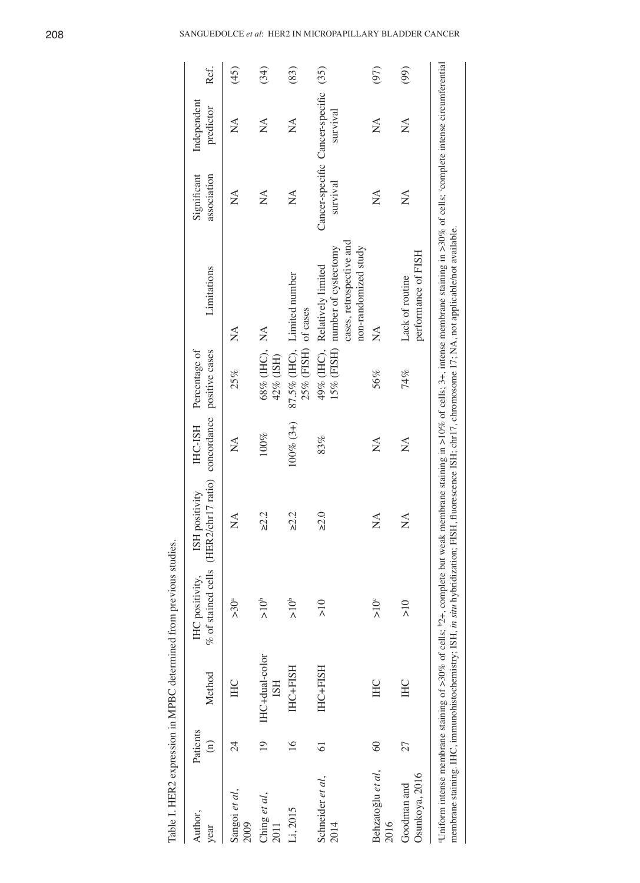| Author,<br>year               | Patients<br>$\widehat{E}$ | Method                       | IHC positivity,       | % of stained cells (HER2/chr17 ratio) concordance positive cases<br>ISH positivity | <b>HC-ISH</b>                  | Percentage of              | Limitations                                                                                                                                                                                                                                                                                                                                                           | Significant<br>association                       | Independent<br>predictor                    | Ref. |
|-------------------------------|---------------------------|------------------------------|-----------------------|------------------------------------------------------------------------------------|--------------------------------|----------------------------|-----------------------------------------------------------------------------------------------------------------------------------------------------------------------------------------------------------------------------------------------------------------------------------------------------------------------------------------------------------------------|--------------------------------------------------|---------------------------------------------|------|
| Sangoi et al,<br>2009         | 24                        | HC                           | >30 <sup>a</sup>      | $\mathbb{X}^{\mathcal{A}}$                                                         | $\mathbb{X}^{\mathcal{A}}$     | 25%                        | $\mathop{\leq}\limits_{{\mathop{\bf{Z}}}}$                                                                                                                                                                                                                                                                                                                            | $\mathop{\lesssim}\limits^{\blacktriangle}$      | $\mathop{\lesssim}\limits^{\blacktriangle}$ | (45) |
| Ching et al,<br>2011          | $\overline{19}$           | IHC+dual-color<br><b>ISH</b> | $\sum_{n=1}^{\infty}$ | $\geq$ 2.2                                                                         | 100%                           | 68% (IHC), NA<br>42% (ISH) |                                                                                                                                                                                                                                                                                                                                                                       | $\mathbb{X}^{\mathcal{A}}$                       | $\mathbb{X}$                                | (34) |
| Li, 2015                      | $\overline{6}$            | IHC+FISH                     | $\geq 10^6$           | $\geq$ 2.2                                                                         | $100\% (3+)$                   | 25% (FISH) of cases        | 87.5% (IHC), Limited number                                                                                                                                                                                                                                                                                                                                           | $\mathbb{X}^{\mathcal{A}}$                       | $\mathbb{X}$                                | (83) |
| Schneider et al,<br>2014      | $\overline{6}$            | IHC+FISH                     | $\frac{1}{2}$         | $\geq 2.0$                                                                         | 83%                            |                            | cases, retrospective and<br>non-randomized study<br>15% (FISH) number of cystectomy<br>49% (IHC), Relatively limited                                                                                                                                                                                                                                                  | Cancer-specific Cancer-specific (35)<br>survival | survival                                    |      |
| Behzatoğlu et al,<br>2016     | $\circledcirc$            | <b>IHC</b>                   | >10 <sup>c</sup>      | $\mathbb{\hat{A}}$                                                                 | $\mathop{\mathsf{Z}}\nolimits$ | 56%                        | $\mathop{\lesssim}\limits^{\blacktriangle}$                                                                                                                                                                                                                                                                                                                           | $\mathbb{X}^{\mathcal{A}}$                       | $\mathbb{\hat{Z}}$                          | (97) |
| Osunkoya, 2016<br>Goodman and | 27                        | <b>IHC</b>                   | $\frac{1}{2}$         | $\mathbb{X}$                                                                       | $\mathbb{X}^{\mathsf{A}}$      | 74%                        | performance of FISH<br>Lack of routine                                                                                                                                                                                                                                                                                                                                | $\mathbb{X}$                                     | $\mathbb{X}$                                | (99) |
|                               |                           |                              |                       |                                                                                    |                                |                            | Uniform intense membrane staining of >30% of cells; $2+$ , complete but weak membrane staining in >10% of cells; 3+, intense membrane staining in >30% of cells; complete intense circumferential<br>membrane staining. IHC, immunohistochemistry; ISH, <i>in situ</i> hybridization; FISH, fluorescence ISH; chr17, chromosome 17; NA, not applicable/not available. |                                                  |                                             |      |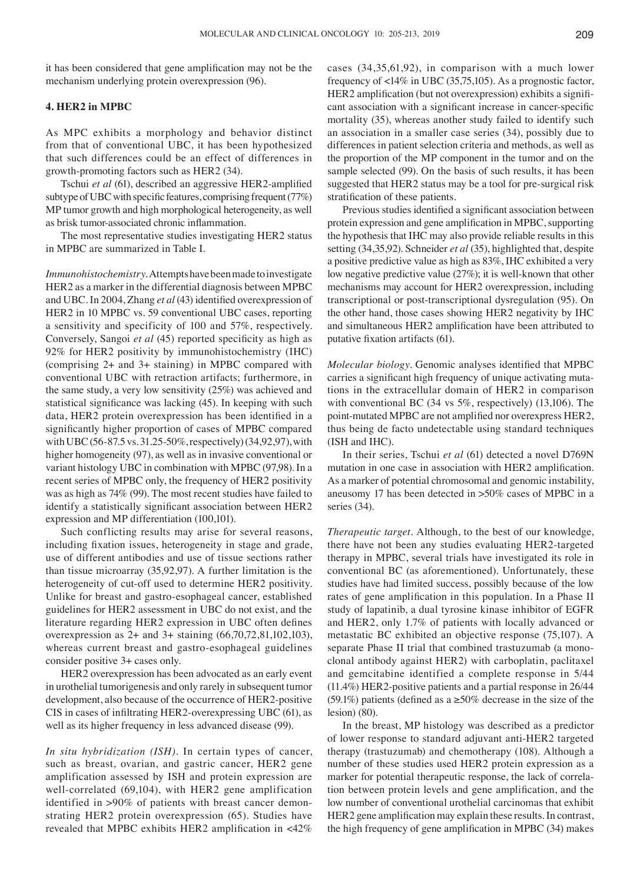it has been considered that gene amplification may not be the mechanism underlying protein overexpression (96).

#### **4. HER2 in MPBC**

As MPC exhibits a morphology and behavior distinct from that of conventional UBC, it has been hypothesized that such differences could be an effect of differences in growth-promoting factors such as HER2 (34).

Tschui *et al* (61), described an aggressive HER2‑amplified subtype of UBC with specific features, comprising frequent(77%) MP tumor growth and high morphological heterogeneity, as well as brisk tumor‑associated chronic inflammation.

The most representative studies investigating HER2 status in MPBC are summarized in Table I.

*Immunohistochemistry.* Attempts have been made to investigate HER2 as a marker in the differential diagnosis between MPBC and UBC. In 2004, Zhang *et al* (43) identified overexpression of HER2 in 10 MPBC vs. 59 conventional UBC cases, reporting a sensitivity and specificity of 100 and 57%, respectively. Conversely, Sangoi *et al* (45) reported specificity as high as 92% for HER2 positivity by immunohistochemistry (IHC) (comprising 2+ and 3+ staining) in MPBC compared with conventional UBC with retraction artifacts; furthermore, in the same study, a very low sensitivity (25%) was achieved and statistical significance was lacking (45). In keeping with such data, HER2 protein overexpression has been identified in a significantly higher proportion of cases of MPBC compared with UBC (56‑87.5 vs. 31.25‑50%, respectively)(34,92,97), with higher homogeneity (97), as well as in invasive conventional or variant histology UBC in combination with MPBC (97,98). In a recent series of MPBC only, the frequency of HER2 positivity was as high as 74% (99). The most recent studies have failed to identify a statistically significant association between HER2 expression and MP differentiation (100,101).

Such conflicting results may arise for several reasons, including fixation issues, heterogeneity in stage and grade, use of different antibodies and use of tissue sections rather than tissue microarray (35,92,97). A further limitation is the heterogeneity of cut-off used to determine HER2 positivity. Unlike for breast and gastro‑esophageal cancer, established guidelines for HER2 assessment in UBC do not exist, and the literature regarding HER2 expression in UBC often defines overexpression as 2+ and 3+ staining (66,70,72,81,102,103), whereas current breast and gastro-esophageal guidelines consider positive 3+ cases only.

HER2 overexpression has been advocated as an early event in urothelial tumorigenesis and only rarely in subsequent tumor development, also because of the occurrence of HER2‑positive CIS in cases of infiltrating HER2‑overexpressing UBC (61), as well as its higher frequency in less advanced disease (99).

*In situ hybridization (ISH).* In certain types of cancer, such as breast, ovarian, and gastric cancer, HER2 gene amplification assessed by ISH and protein expression are well-correlated (69,104), with HER2 gene amplification identified in >90% of patients with breast cancer demonstrating HER2 protein overexpression (65). Studies have revealed that MPBC exhibits HER2 amplification in <42% cases (34,35,61,92), in comparison with a much lower frequency of <14% in UBC (35,75,105). As a prognostic factor, HER2 amplification (but not overexpression) exhibits a significant association with a significant increase in cancer‑specific mortality (35), whereas another study failed to identify such an association in a smaller case series (34), possibly due to differences in patient selection criteria and methods, as well as the proportion of the MP component in the tumor and on the sample selected (99). On the basis of such results, it has been suggested that HER2 status may be a tool for pre-surgical risk stratification of these patients.

Previous studies identified a significant association between protein expression and gene amplification in MPBC, supporting the hypothesis that IHC may also provide reliable results in this setting (34,35,92). Schneider *et al* (35), highlighted that, despite a positive predictive value as high as 83%, IHC exhibited a very low negative predictive value (27%); it is well-known that other mechanisms may account for HER2 overexpression, including transcriptional or post-transcriptional dysregulation (95). On the other hand, those cases showing HER2 negativity by IHC and simultaneous HER2 amplification have been attributed to putative fixation artifacts (61).

*Molecular biology.* Genomic analyses identified that MPBC carries a significant high frequency of unique activating mutations in the extracellular domain of HER2 in comparison with conventional BC (34 vs 5%, respectively) (13,106). The point-mutated MPBC are not amplified nor overexpress HER2, thus being de facto undetectable using standard techniques (ISH and IHC).

In their series, Tschui *et al* (61) detected a novel D769N mutation in one case in association with HER2 amplification. As a marker of potential chromosomal and genomic instability, aneusomy 17 has been detected in >50% cases of MPBC in a series (34).

*Therapeutic target.* Although, to the best of our knowledge, there have not been any studies evaluating HER2‑targeted therapy in MPBC, several trials have investigated its role in conventional BC (as aforementioned). Unfortunately, these studies have had limited success, possibly because of the low rates of gene amplification in this population. In a Phase II study of lapatinib, a dual tyrosine kinase inhibitor of EGFR and HER2, only 1.7% of patients with locally advanced or metastatic BC exhibited an objective response (75,107). A separate Phase II trial that combined trastuzumab (a monoclonal antibody against HER2) with carboplatin, paclitaxel and gemcitabine identified a complete response in 5/44 (11.4%) HER2‑positive patients and a partial response in 26/44 (59.1%) patients (defined as a  $\geq$ 50% decrease in the size of the lesion) (80).

In the breast, MP histology was described as a predictor of lower response to standard adjuvant anti‑HER2 targeted therapy (trastuzumab) and chemotherapy (108). Although a number of these studies used HER2 protein expression as a marker for potential therapeutic response, the lack of correlation between protein levels and gene amplification, and the low number of conventional urothelial carcinomas that exhibit HER2 gene amplification may explain these results. In contrast, the high frequency of gene amplification in MPBC (34) makes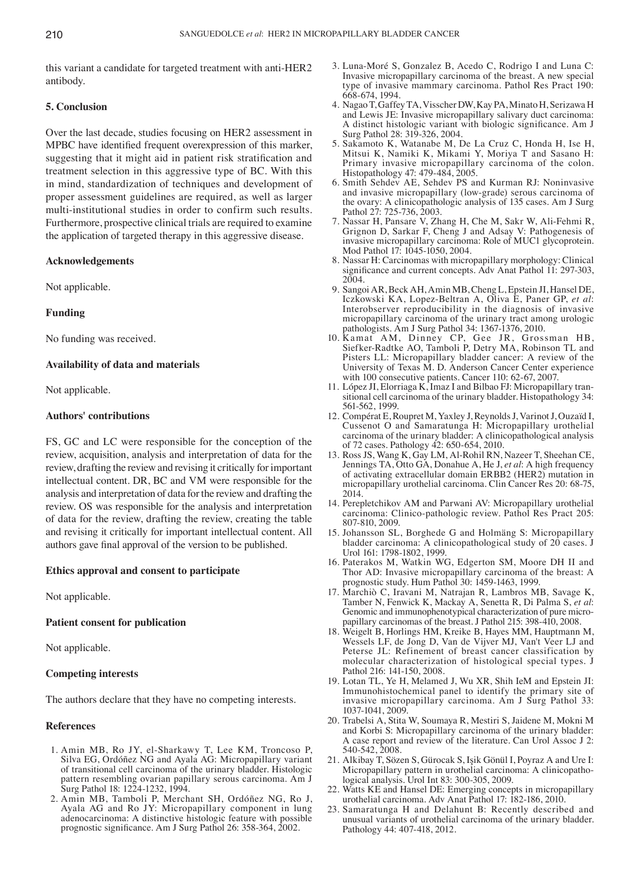this variant a candidate for targeted treatment with anti-HER2 antibody.

## **5. Conclusion**

Over the last decade, studies focusing on HER2 assessment in MPBC have identified frequent overexpression of this marker, suggesting that it might aid in patient risk stratification and treatment selection in this aggressive type of BC. With this in mind, standardization of techniques and development of proper assessment guidelines are required, as well as larger multi-institutional studies in order to confirm such results. Furthermore, prospective clinical trials are required to examine the application of targeted therapy in this aggressive disease.

## **Acknowledgements**

Not applicable.

## **Funding**

No funding was received.

## **Availability of data and materials**

Not applicable.

## **Authors' contributions**

FS, GC and LC were responsible for the conception of the review, acquisition, analysis and interpretation of data for the review, drafting the review and revising it critically for important intellectual content. DR, BC and VM were responsible for the analysis and interpretation of data for the review and drafting the review. OS was responsible for the analysis and interpretation of data for the review, drafting the review, creating the table and revising it critically for important intellectual content. All authors gave final approval of the version to be published.

#### **Ethics approval and consent to participate**

Not applicable.

#### **Patient consent for publication**

Not applicable.

#### **Competing interests**

The authors declare that they have no competing interests.

#### **References**

- 1. Amin MB, Ro JY, el‑Sharkawy T, Lee KM, Troncoso P, Silva EG, Ordóñez NG and Ayala AG: Micropapillary variant of transitional cell carcinoma of the urinary bladder. Histologic pattern resembling ovarian papillary serous carcinoma. Am J Surg Pathol 18: 1224‑1232, 1994.
- 2. Amin MB, Tamboli P, Merchant SH, Ordóñez NG, Ro J, Ayala AG and Ro JY: Micropapillary component in lung adenocarcinoma: A distinctive histologic feature with possible prognostic significance. Am J Surg Pathol 26: 358‑364, 2002.
- 3. Luna‑Moré S, Gonzalez B, Acedo C, Rodrigo I and Luna C: Invasive micropapillary carcinoma of the breast. A new special type of invasive mammary carcinoma. Pathol Res Pract 190: 668‑674, 1994.
- 4. Nagao T, Gaffey TA, Visscher DW, Kay PA, Minato H, Serizawa H and Lewis JE: Invasive micropapillary salivary duct carcinoma: A distinct histologic variant with biologic significance. Am J Surg Pathol 28: 319‑326, 2004.
- 5. Sakamoto K, Watanabe M, De La Cruz C, Honda H, Ise H, Mitsui K, Namiki K, Mikami Y, Moriya T and Sasano H: Primary invasive micropapillary carcinoma of the colon. Histopathology 47: 479‑484, 2005.
- 6. Smith Sehdev AE, Sehdev PS and Kurman RJ: Noninvasive and invasive micropapillary (low‑grade) serous carcinoma of the ovary: A clinicopathologic analysis of 135 cases. Am J Surg Pathol 27: 725-736, 2003.
- 7. Nassar H, Pansare V, Zhang H, Che M, Sakr W, Ali‑Fehmi R, Grignon D, Sarkar F, Cheng J and Adsay V: Pathogenesis of invasive micropapillary carcinoma: Role of MUC1 glycoprotein. Mod Pathol 17: 1045-1050, 2004.
- 8. Nassar H: Carcinomas with micropapillary morphology: Clinical significance and current concepts. Adv Anat Pathol 11: 297-303, 2004.
- 9. Sangoi AR, Beck AH, Amin MB, Cheng L, Epstein JI, Hansel DE, Iczkowski KA, Lopez‑Beltran A, Oliva E, Paner GP, *et al*: Interobserver reproducibility in the diagnosis of invasive micropapillary carcinoma of the urinary tract among urologic pathologists. Am J Surg Pathol 34: 1367‑1376, 2010.
- 10. Kamat AM, Dinney CP, Gee JR, Grossman HB, Siefker‑Radtke AO, Tamboli P, Detry MA, Robinson TL and Pisters LL: Micropapillary bladder cancer: A review of the University of Texas M. D. Anderson Cancer Center experience with 100 consecutive patients. Cancer 110: 62‑67, 2007.
- 11. López JI, Elorriaga K, Imaz I and Bilbao FJ: Micropapillary transitional cell carcinoma of the urinary bladder. Histopathology 34: 561‑562, 1999.
- 12. Compérat E, Roupret M, Yaxley J, Reynolds J, Varinot J, Ouzaïd I, Cussenot O and Samaratunga H: Micropapillary urothelial carcinoma of the urinary bladder: A clinicopathological analysis of 72 cases. Pathology 42: 650‑654, 2010.
- 13. Ross JS, Wang K, Gay LM, Al‑Rohil RN, Nazeer T, Sheehan CE, Jennings TA, Otto GA, Donahue A, He J, *et al*: A high frequency of activating extracellular domain ERBB2 (HER2) mutation in micropapillary urothelial carcinoma. Clin Cancer Res 20: 68‑75, 2014.
- 14. Perepletchikov AM and Parwani AV: Micropapillary urothelial carcinoma: Clinico‑pathologic review. Pathol Res Pract 205: 807‑810, 2009.
- 15. Johansson SL, Borghede G and Holmäng S: Micropapillary bladder carcinoma: A clinicopathological study of 20 cases. J Urol 161: 1798-1802, 1999.
- 16. Paterakos M, Watkin WG, Edgerton SM, Moore DH II and Thor AD: Invasive micropapillary carcinoma of the breast: A prognostic study. Hum Pathol 30: 1459‑1463, 1999.
- 17. Marchiò C, Iravani M, Natrajan R, Lambros MB, Savage K, Tamber N, Fenwick K, Mackay A, Senetta R, Di Palma S, *et al*: Genomic and immunophenotypical characterization of pure micropapillary carcinomas of the breast. J Pathol 215: 398‑410, 2008.
- 18. Weigelt B, Horlings HM, Kreike B, Hayes MM, Hauptmann M, Wessels LF, de Jong D, Van de Vijver MJ, Van't Veer LJ and Peterse JL: Refinement of breast cancer classification by molecular characterization of histological special types. J Pathol 216: 141-150, 2008.
- 19. Lotan TL, Ye H, Melamed J, Wu XR, Shih IeM and Epstein JI: Immunohistochemical panel to identify the primary site of invasive micropapillary carcinoma. Am J Surg Pathol 33: 1037‑1041, 2009.
- 20. Trabelsi A, Stita W, Soumaya R, Mestiri S, Jaidene M, Mokni M and Korbi S: Micropapillary carcinoma of the urinary bladder: A case report and review of the literature. Can Urol Assoc J 2: 540‑542, 2008.
- 21. Alkibay T, Sözen S, Gürocak S, Işik Gönül I, Poyraz A and Ure I: Micropapillary pattern in urothelial carcinoma: A clinicopathological analysis. Urol Int 83: 300‑305, 2009.
- 22. Watts KE and Hansel DE: Emerging concepts in micropapillary urothelial carcinoma. Adv Anat Pathol 17: 182‑186, 2010.
- 23. Samaratunga H and Delahunt B: Recently described and unusual variants of urothelial carcinoma of the urinary bladder. Pathology 44: 407‑418, 2012.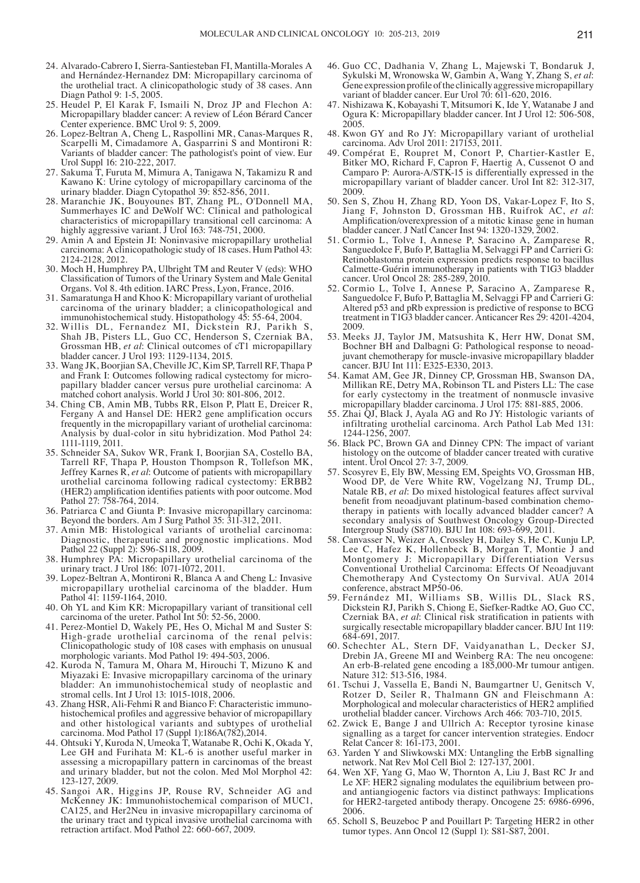- 24. Alvarado-Cabrero I, Sierra-Santiesteban FI, Mantilla-Morales A and Hernández‑Hernandez DM: Micropapillary carcinoma of the urothelial tract. A clinicopathologic study of 38 cases. Ann Diagn Pathol 9: 1‑5, 2005.
- 25. Heudel P, El Karak F, Ismaili N, Droz JP and Flechon A: Micropapillary bladder cancer: A review of Léon Bérard Cancer Center experience. BMC Urol 9: 5, 2009.
- 26. Lopez‑Beltran A, Cheng L, Raspollini MR, Canas‑Marques R, Scarpelli M, Cimadamore A, Gasparrini S and Montironi R: Variants of bladder cancer: The pathologist's point of view. Eur Urol Suppl 16: 210‑222, 2017.
- 27. Sakuma T, Furuta M, Mimura A, Tanigawa N, Takamizu R and Kawano K: Urine cytology of micropapillary carcinoma of the urinary bladder. Diagn Cytopathol 39: 852‑856, 2011.
- 28. Maranchie JK, Bouyounes BT, Zhang PL, O'Donnell MA, Summerhayes IC and DeWolf WC: Clinical and pathological characteristics of micropapillary transitional cell carcinoma: A highly aggressive variant. J Urol 163: 748-751, 2000.
- 29. Amin A and Epstein JI: Noninvasive micropapillary urothelial carcinoma: A clinicopathologic study of 18 cases. Hum Pathol 43: 2124‑2128, 2012.
- 30. Moch H, Humphrey PA, Ulbright TM and Reuter V (eds): WHO Classification of Tumors of the Urinary System and Male Genital Organs. Vol 8. 4th edition. IARC Press, Lyon, France, 2016.
- 31. Samaratunga H and Khoo K: Micropapillary variant of urothelial carcinoma of the urinary bladder; a clinicopathological and immunohistochemical study. Histopathology 45: 55‑64, 2004.
- 32. Willis DL, Fernandez MI, Dickstein RJ, Parikh S, Shah JB, Pisters LL, Guo CC, Henderson S, Czerniak BA, Grossman HB, *et al*: Clinical outcomes of cT1 micropapillary bladder cancer. J Urol 193: 1129‑1134, 2015.
- 33. Wang JK, Boorjian SA, Cheville JC, Kim SP, Tarrell RF, Thapa P and Frank I: Outcomes following radical cystectomy for micropapillary bladder cancer versus pure urothelial carcinoma: A matched cohort analysis. World J Urol 30: 801-806, 2012.
- 34. Ching CB, Amin MB, Tubbs RR, Elson P, Platt E, Dreicer R, Fergany A and Hansel DE: HER2 gene amplification occurs frequently in the micropapillary variant of urothelial carcinoma: Analysis by dual‑color in situ hybridization. Mod Pathol 24: 1111‑1119, 2011.
- 35. Schneider SA, Sukov WR, Frank I, Boorjian SA, Costello BA, Tarrell RF, Thapa P, Houston Thompson R, Tollefson MK, Jeffrey Karnes R, *et al*: Outcome of patients with micropapillary urothelial carcinoma following radical cystectomy: ERBB2 (HER2) amplification identifies patients with poor outcome. Mod Pathol 27: 758‑764, 2014.
- 36. Patriarca C and Giunta P: Invasive micropapillary carcinoma: Beyond the borders. Am J Surg Pathol 35: 311–312, 2011.
- 37. Amin MB: Histological variants of urothelial carcinoma: Diagnostic, therapeutic and prognostic implications. Mod Pathol 22 (Suppl 2): S96-S118, 2009.
- 38. Humphrey PA: Micropapillary urothelial carcinoma of the urinary tract. J Urol 186: 1071‑1072, 2011.
- 39. Lopez‑Beltran A, Montironi R, Blanca A and Cheng L: Invasive micropapillary urothelial carcinoma of the bladder. Hum Pathol 41: 1159-1164, 2010.
- 40. Oh YL and Kim KR: Micropapillary variant of transitional cell carcinoma of the ureter. Pathol Int 50: 52‑56, 2000.
- 41. Perez‑Montiel D, Wakely PE, Hes O, Michal M and Suster S: High‑grade urothelial carcinoma of the renal pelvis: Clinicopathologic study of 108 cases with emphasis on unusual morphologic variants. Mod Pathol 19: 494-503, 2006.
- 42. Kuroda N, Tamura M, Ohara M, Hirouchi T, Mizuno K and Miyazaki E: Invasive micropapillary carcinoma of the urinary bladder: An immunohistochemical study of neoplastic and stromal cells. Int J Urol 13: 1015‑1018, 2006.
- 43. Zhang HSR, Ali‑Fehmi R and Bianco F: Characteristic immunohistochemical profiles and aggressive behavior of micropapillary and other histological variants and subtypes of urothelial carcinoma. Mod Pathol 17 (Suppl 1):186A(782),2014.
- 44. Ohtsuki Y, Kuroda N, Umeoka T, Watanabe R, Ochi K, Okada Y, Lee GH and Furihata M: KL‑6 is another useful marker in assessing a micropapillary pattern in carcinomas of the breast and urinary bladder, but not the colon. Med Mol Morphol 42: 123‑127, 2009.
- 45. Sangoi AR, Higgins JP, Rouse RV, Schneider AG and McKenney JK: Immunohistochemical comparison of MUC1, CA125, and Her2Neu in invasive micropapillary carcinoma of the urinary tract and typical invasive urothelial carcinoma with retraction artifact. Mod Pathol 22: 660‑667, 2009.
- 46. Guo CC, Dadhania V, Zhang L, Majewski T, Bondaruk J, Sykulski M, Wronowska W, Gambin A, Wang Y, Zhang S, *et al*: Gene expression profile of the clinically aggressive micropapillary variant of bladder cancer. Eur Urol 70: 611‑620, 2016.
- 47. Nishizawa K, Kobayashi T, Mitsumori K, Ide Y, Watanabe J and Ogura K: Micropapillary bladder cancer. Int J Urol 12: 506‑508, 2005.
- 48. Kwon GY and Ro JY: Micropapillary variant of urothelial carcinoma. Adv Urol 2011: 217153, 2011.
- 49. Compérat E, Roupret M, Conort P, Chartier‑Kastler E, Bitker MO, Richard F, Capron F, Haertig A, Cussenot O and Camparo P: Aurora‑A/STK‑15 is differentially expressed in the micropapillary variant of bladder cancer. Urol Int 82: 312‑317, 2009.
- 50. Sen S, Zhou H, Zhang RD, Yoon DS, Vakar-Lopez F, Ito S, Jiang F, Johnston D, Grossman HB, Ruifrok AC, *et al*: Amplification/overexpression of a mitotic kinase gene in human bladder cancer. J Natl Cancer Inst 94: 1320‑1329, 2002.
- 51. Cormio L, Tolve I, Annese P, Saracino A, Zamparese R, Sanguedolce F, Bufo P, Battaglia M, Selvaggi FP and Carrieri G: Retinoblastoma protein expression predicts response to bacillus Calmette‑Guérin immunotherapy in patients with T1G3 bladder cancer. Urol Oncol 28: 285‑289, 2010.
- 52. Cormio L, Tolve I, Annese P, Saracino A, Zamparese R, Sanguedolce F, Bufo P, Battaglia M, Selvaggi FP and Carrieri G: Altered p53 and pRb expression is predictive of response to BCG treatment in T1G3 bladder cancer. Anticancer Res 29: 4201‑4204, 2009.
- 53. Meeks JJ, Taylor JM, Matsushita K, Herr HW, Donat SM, Bochner BH and Dalbagni G: Pathological response to neoadjuvant chemotherapy for muscle‑invasive micropapillary bladder cancer. BJU Int 111: E325‑E330, 2013.
- 54. Kamat AM, Gee JR, Dinney CP, Grossman HB, Swanson DA, Millikan RE, Detry MA, Robinson TL and Pisters LL: The case for early cystectomy in the treatment of nonmuscle invasive micropapillary bladder carcinoma. J Urol 175: 881‑885, 2006.
- 55. Zhai QJ, Black J, Ayala AG and Ro JY: Histologic variants of infiltrating urothelial carcinoma. Arch Pathol Lab Med 131: 1244‑1256, 2007.
- 56. Black PC, Brown GA and Dinney CPN: The impact of variant histology on the outcome of bladder cancer treated with curative intent. Urol Oncol 27: 3‑7, 2009.
- 57. Scosyrev E, Ely BW, Messing EM, Speights VO, Grossman HB, Wood DP, de Vere White RW, Vogelzang NJ, Trump DL, Natale RB, *et al*: Do mixed histological features affect survival benefit from neoadjuvant platinum‑based combination chemotherapy in patients with locally advanced bladder cancer? A secondary analysis of Southwest Oncology Group-Directed Intergroup Study (S8710). BJU Int 108: 693‑699, 2011.
- 58. Canvasser N, Weizer A, Crossley H, Dailey S, He C, Kunju LP, Lee C, Hafez K, Hollenbeck B, Morgan T, Montie J and Montgomery J: Micropapillary Differentiation Versus Conventional Urothelial Carcinoma: Effects Of Neoadjuvant Chemotherapy And Cystectomy On Survival. AUA 2014 conference, abstract MP50‑06.
- 59. Fernández MI, Williams SB, Willis DL, Slack RS, Dickstein RJ, Parikh S, Chiong E, Siefker‑Radtke AO, Guo CC, Czerniak BA, *et al*: Clinical risk stratification in patients with surgically resectable micropapillary bladder cancer. BJU Int 119: 684‑691, 2017.
- 60. Schechter AL, Stern DF, Vaidyanathan L, Decker SJ, Drebin JA, Greene MI and Weinberg RA: The neu oncogene: An erb‑B‑related gene encoding a 185,000‑Mr tumour antigen. Nature 312: 513‑516, 1984.
- 61. Tschui J, Vassella E, Bandi N, Baumgartner U, Genitsch V, Rotzer D, Seiler R, Thalmann GN and Fleischmann A: Morphological and molecular characteristics of HER2 amplified urothelial bladder cancer. Virchows Arch 466: 703‑710, 2015.
- 62. Zwick E, Bange J and Ullrich A: Receptor tyrosine kinase signalling as a target for cancer intervention strategies. Endocr Relat Cancer 8: 161‑173, 2001.
- 63. Yarden Y and Sliwkowski MX: Untangling the ErbB signalling network. Nat Rev Mol Cell Biol 2: 127‑137, 2001.
- 64. Wen XF, Yang G, Mao W, Thornton A, Liu J, Bast RC Jr and Le XF: HER2 signaling modulates the equilibrium between proand antiangiogenic factors via distinct pathways: Implications for HER2-targeted antibody therapy. Oncogene 25: 6986-6996, 2006.
- 65. Scholl S, Beuzeboc P and Pouillart P: Targeting HER2 in other tumor types. Ann Oncol 12 (Suppl 1): S81‑S87, 2001.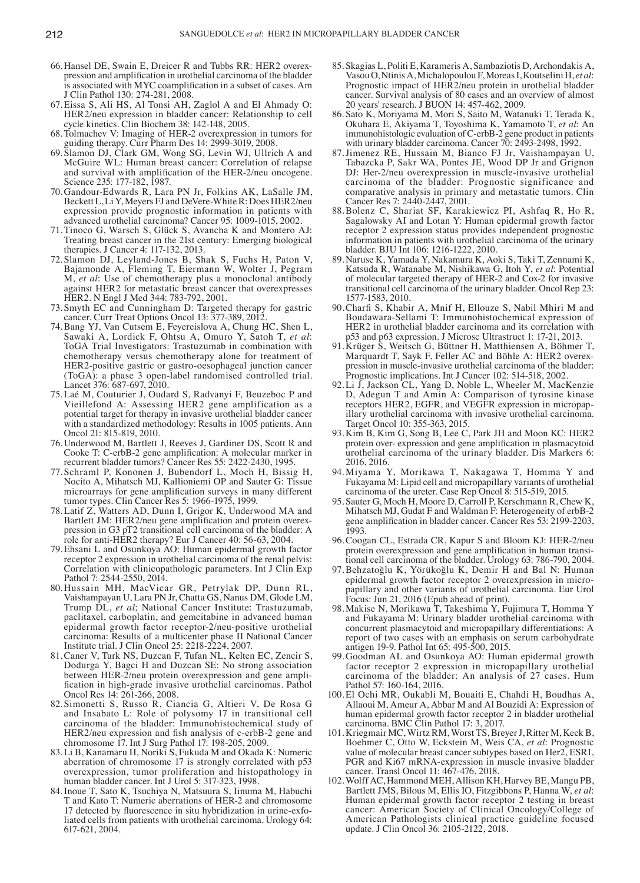- 66.Hansel DE, Swain E, Dreicer R and Tubbs RR: HER2 overexpression and amplification in urothelial carcinoma of the bladder is associated with MYC coamplification in a subset of cases. Am J Clin Pathol 130: 274‑281, 2008.
- 67.Eissa S, Ali HS, Al Tonsi AH, Zaglol A and El Ahmady O: HER2/neu expression in bladder cancer: Relationship to cell cycle kinetics. Clin Biochem 38: 142‑148, 2005.
- 68.Tolmachev V: Imaging of HER‑2 overexpression in tumors for guiding therapy. Curr Pharm Des 14: 2999‑3019, 2008.
- 69. Slamon DJ, Clark GM, Wong SG, Levin WJ, Ullrich A and McGuire WL: Human breast cancer: Correlation of relapse and survival with amplification of the HER‑2/neu oncogene. Science 235: 177‑182, 1987.
- 70.Gandour‑Edwards R, Lara PN Jr, Folkins AK, LaSalle JM, BeckettL, Li Y, Meyers FJ and DeVere‑White R: Does HER2/neu expression provide prognostic information in patients with advanced urothelial carcinoma? Cancer 95: 1009‑1015, 2002.
- 71.Tinoco G, Warsch S, Glück S, Avancha K and Montero AJ: Treating breast cancer in the 21st century: Emerging biological therapies. J Cancer 4: 117‑132, 2013.
- 72. Slamon DJ, Leyland‑Jones B, Shak S, Fuchs H, Paton V, Bajamonde A, Fleming T, Eiermann W, Wolter J, Pegram M, *et al*: Use of chemotherapy plus a monoclonal antibody against HER2 for metastatic breast cancer that overexpresses HER2. N Engl J Med 344: 783‑792, 2001.
- 73. Smyth EC and Cunningham D: Targeted therapy for gastric cancer. Curr Treat Options Oncol 13: 377‑389, 2012.
- 74.Bang YJ, Van Cutsem E, Feyereislova A, Chung HC, Shen L, Sawaki A, Lordick F, Ohtsu A, Omuro Y, Satoh T, *et al*: ToGA Trial Investigators: Trastuzumab in combination with chemotherapy versus chemotherapy alone for treatment of HER2‑positive gastric or gastro‑oesophageal junction cancer (ToGA): a phase 3 open‑label randomised controlled trial. Lancet 376: 687‑697, 2010.
- 75.Laé M, Couturier J, Oudard S, Radvanyi F, Beuzeboc P and Vieillefond A: Assessing HER2 gene amplification as a potential target for therapy in invasive urothelial bladder cancer with a standardized methodology: Results in 1005 patients. Ann Oncol 21: 815‑819, 2010.
- 76.Underwood M, Bartlett J, Reeves J, Gardiner DS, Scott R and Cooke T: C‑erbB‑2 gene amplification: A molecular marker in recurrent bladder tumors? Cancer Res 55: 2422‑2430, 1995.
- 77. Schraml P, Kononen J, Bubendorf L, Moch H, Bissig H, Nocito A, Mihatsch MJ, Kallioniemi OP and Sauter G: Tissue microarrays for gene amplification surveys in many different tumor types. Clin Cancer Res 5: 1966‑1975, 1999.
- 78.Latif Z, Watters AD, Dunn I, Grigor K, Underwood MA and Bartlett JM: HER2/neu gene amplification and protein overexpression in G3 pT2 transitional cell carcinoma of the bladder: A role for anti-HER2 therapy? Eur J Cancer 40: 56-63, 2004.
- 79.Ehsani L and Osunkoya AO: Human epidermal growth factor receptor 2 expression in urothelial carcinoma of the renal pelvis: Correlation with clinicopathologic parameters. Int J Clin Exp Pathol 7: 2544‑2550, 2014.
- 80.Hussain MH, MacVicar GR, Petrylak DP, Dunn RL, Vaishampayan U, Lara PN Jr, Chatta GS, Nanus DM, Glode LM, Trump DL, *et al*; National Cancer Institute: Trastuzumab, paclitaxel, carboplatin, and gemcitabine in advanced human epidermal growth factor receptor-2/neu-positive urothelial carcinoma: Results of a multicenter phase II National Cancer Institute trial. J Clin Oncol 25: 2218‑2224, 2007.
- 81.Caner V, Turk NS, Duzcan F, Tufan NL, Kelten EC, Zencir S, Dodurga Y, Bagci H and Duzcan SE: No strong association between HER-2/neu protein overexpression and gene amplification in high‑grade invasive urothelial carcinomas. Pathol Oncol Res 14: 261-266, 2008.
- 82. Simonetti S, Russo R, Ciancia G, Altieri V, De Rosa G and Insabato L: Role of polysomy 17 in transitional cell carcinoma of the bladder: Immunohistochemical study of HER2/neu expression and fish analysis of c-erbB-2 gene and chromosome 17. Int J Surg Pathol 17: 198‑205, 2009.
- 83.Li B, Kanamaru H, Noriki S, Fukuda M and Okada K: Numeric aberration of chromosome 17 is strongly correlated with p53 overexpression, tumor proliferation and histopathology in human bladder cancer. Int J Urol 5: 317‑323, 1998.
- 84.Inoue T, Sato K, Tsuchiya N, Matsuura S, Iinuma M, Habuchi T and Kato T: Numeric aberrations of HER‑2 and chromosome 17 detected by fluorescence in situ hybridization in urine‑exfoliated cells from patients with urothelial carcinoma. Urology 64: 617‑621, 2004.
- 85. Skagias L, Politi E, Karameris A, Sambaziotis D, Archondakis A, Vasou O, Ntinis A, Michalopoulou F, Moreas I, Koutselini H, *et al*: Prognostic impact of HER2/neu protein in urothelial bladder cancer. Survival analysis of 80 cases and an overview of almost 20 years' research. J BUON 14: 457‑462, 2009.
- 86. Sato K, Moriyama M, Mori S, Saito M, Watanuki T, Terada K, Okuhara E, Akiyama T, Toyoshima K, Yamamoto T, *et al*: An immunohistologic evaluation of C‑erbB‑2 gene product in patients with urinary bladder carcinoma. Cancer 70: 2493-2498, 1992.
- 87.Jimenez RE, Hussain M, Bianco FJ Jr, Vaishampayan U, Tabazcka P, Sakr WA, Pontes JE, Wood DP Jr and Grignon DJ: Her-2/neu overexpression in muscle-invasive urothelial carcinoma of the bladder: Prognostic significance and comparative analysis in primary and metastatic tumors. Clin Cancer Res 7: 2440‑2447, 2001.
- 88.Bolenz C, Shariat SF, Karakiewicz PI, Ashfaq R, Ho R, Sagalowsky AI and Lotan Y: Human epidermal growth factor receptor 2 expression status provides independent prognostic information in patients with urothelial carcinoma of the urinary bladder. BJU Int 106: 1216‑1222, 2010.
- 89.Naruse K, Yamada Y, Nakamura K, Aoki S, Taki T, Zennami K, Katsuda R, Watanabe M, Nishikawa G, Itoh Y, *et al*: Potential of molecular targeted therapy of HER‑2 and Cox‑2 for invasive transitional cell carcinoma of the urinary bladder. Oncol Rep 23: 1577‑1583, 2010.
- 90.Charfi S, Khabir A, Mnif H, Ellouze S, Nabil Mhiri M and Boudawara‑Sellami T: Immunohistochemical expression of HER2 in urothelial bladder carcinoma and its correlation with p53 and p63 expression. J Microsc Ultrastruct 1: 17‑21, 2013.
- 91.Krüger S, Weitsch G, Büttner H, Matthiensen A, Böhmer T, Marquardt T, Sayk F, Feller AC and Böhle A: HER2 overexpression in muscle‑invasive urothelial carcinoma of the bladder: Prognostic implications. Int J Cancer 102: 514‑518, 2002.
- 92.Li J, Jackson CL, Yang D, Noble L, Wheeler M, MacKenzie D, Adegun T and Amin A: Comparison of tyrosine kinase receptors HER2, EGFR, and VEGFR expression in micropapillary urothelial carcinoma with invasive urothelial carcinoma. Target Oncol 10: 355‑363, 2015.
- 93.Kim B, Kim G, Song B, Lee C, Park JH and Moon KC: HER2 protein over‑ expression and gene amplification in plasmacytoid urothelial carcinoma of the urinary bladder. Dis Markers 6: 2016, 2016.
- 94. Miyama Y, Morikawa T, Nakagawa T, Homma Y and Fukayama M: Lipid cell and micropapillary variants of urothelial carcinoma of the ureter. Case Rep Oncol 8: 515‑519, 2015.
- 95. Sauter G, Moch H, Moore D, Carroll P, Kerschmann R, Chew K, Mihatsch MJ, Gudat F and Waldman F: Heterogeneity of erbB‑2 gene amplification in bladder cancer. Cancer Res 53: 2199‑2203, 1993.
- 96.Coogan CL, Estrada CR, Kapur S and Bloom KJ: HER‑2/neu protein overexpression and gene amplification in human transitional cell carcinoma of the bladder. Urology 63: 786‑790, 2004.
- 97.Behzatoğlu K, Yörükoğlu K, Demir H and Bal N: Human epidermal growth factor receptor 2 overexpression in micropapillary and other variants of urothelial carcinoma. Eur Urol Focus: Jun 21, 2016 (Epub ahead of print).
- 98.Makise N, Morikawa T, Takeshima Y, Fujimura T, Homma Y and Fukayama M: Urinary bladder urothelial carcinoma with concurrent plasmacytoid and micropapillary differentiations: A report of two cases with an emphasis on serum carbohydrate antigen 19‑9. Pathol Int 65: 495‑500, 2015.
- 99.Goodman AL and Osunkoya AO: Human epidermal growth factor receptor 2 expression in micropapillary urothelial carcinoma of the bladder: An analysis of 27 cases. Hum Pathol 57: 160-164, 2016.
- 100.El Ochi MR, Oukabli M, Bouaiti E, Chahdi H, Boudhas A, Allaoui M, Ameur A, Abbar M and Al Bouzidi A: Expression of human epidermal growth factor receptor 2 in bladder urothelial carcinoma. BMC Clin Pathol 17: 3, 2017.
- 101.Kriegmair MC, Wirtz RM, Worst TS, Breyer J, Ritter M, Keck B, Boehmer C, Otto W, Eckstein M, Weis CA, *et al*: Prognostic value of molecular breast cancer subtypes based on Her2, ESR1, PGR and Ki67 mRNA-expression in muscle invasive bladder cancer. Transl Oncol 11: 467‑476, 2018.
- 102.Wolff AC, Hammond MEH, Allison KH, Harvey BE, Mangu PB, Bartlett JMS, Bilous M, Ellis IO, Fitzgibbons P, Hanna W, *et al*: Human epidermal growth factor receptor 2 testing in breast cancer: American Society of Clinical Oncology/College of American Pathologists clinical practice guideline focused update. J Clin Oncol 36: 2105-2122, 2018.